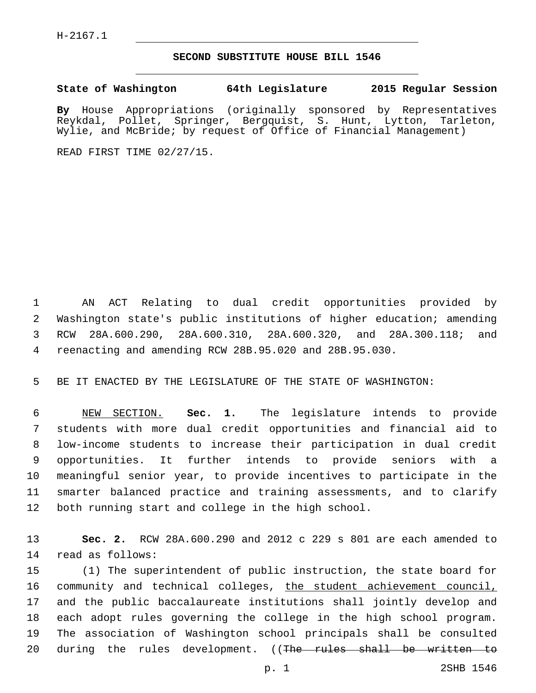## **SECOND SUBSTITUTE HOUSE BILL 1546**

**State of Washington 64th Legislature 2015 Regular Session**

**By** House Appropriations (originally sponsored by Representatives Reykdal, Pollet, Springer, Bergquist, S. Hunt, Lytton, Tarleton, Wylie, and McBride; by request of Office of Financial Management)

READ FIRST TIME 02/27/15.

 AN ACT Relating to dual credit opportunities provided by Washington state's public institutions of higher education; amending RCW 28A.600.290, 28A.600.310, 28A.600.320, and 28A.300.118; and reenacting and amending RCW 28B.95.020 and 28B.95.030.

BE IT ENACTED BY THE LEGISLATURE OF THE STATE OF WASHINGTON:

 NEW SECTION. **Sec. 1.** The legislature intends to provide students with more dual credit opportunities and financial aid to low-income students to increase their participation in dual credit opportunities. It further intends to provide seniors with a meaningful senior year, to provide incentives to participate in the smarter balanced practice and training assessments, and to clarify both running start and college in the high school.

 **Sec. 2.** RCW 28A.600.290 and 2012 c 229 s 801 are each amended to read as follows:14

 (1) The superintendent of public instruction, the state board for 16 community and technical colleges, the student achievement council, and the public baccalaureate institutions shall jointly develop and each adopt rules governing the college in the high school program. The association of Washington school principals shall be consulted 20 during the rules development. ((The rules shall be written to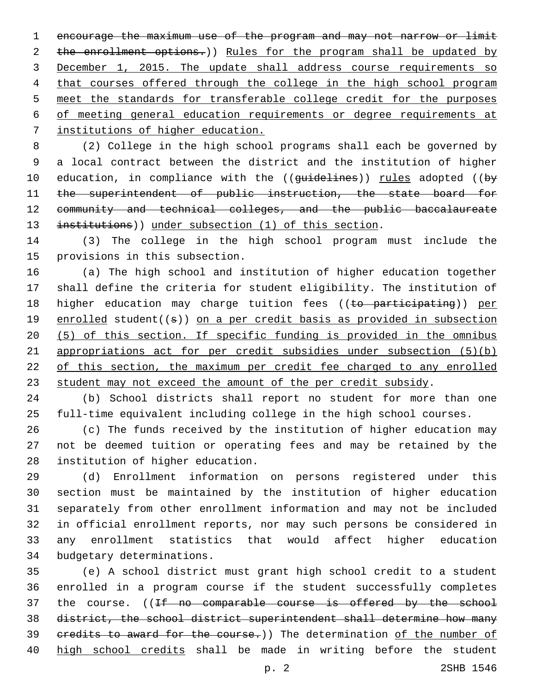encourage the maximum use of the program and may not narrow or limit 2 the enrollment options.)) Rules for the program shall be updated by December 1, 2015. The update shall address course requirements so 4 that courses offered through the college in the high school program meet the standards for transferable college credit for the purposes of meeting general education requirements or degree requirements at institutions of higher education.

 (2) College in the high school programs shall each be governed by a local contract between the district and the institution of higher 10 education, in compliance with the ((guidelines)) rules adopted ((by 11 the superintendent of public instruction, the state board for community and technical colleges, and the public baccalaureate 13 institutions)) under subsection (1) of this section.

 (3) The college in the high school program must include the 15 provisions in this subsection.

 (a) The high school and institution of higher education together shall define the criteria for student eligibility. The institution of 18 higher education may charge tuition fees ((to participating)) per 19 enrolled student((s)) on a per credit basis as provided in subsection (5) of this section. If specific funding is provided in the omnibus appropriations act for per credit subsidies under subsection (5)(b) of this section, the maximum per credit fee charged to any enrolled student may not exceed the amount of the per credit subsidy.

 (b) School districts shall report no student for more than one full-time equivalent including college in the high school courses.

 (c) The funds received by the institution of higher education may not be deemed tuition or operating fees and may be retained by the 28 institution of higher education.

 (d) Enrollment information on persons registered under this section must be maintained by the institution of higher education separately from other enrollment information and may not be included in official enrollment reports, nor may such persons be considered in any enrollment statistics that would affect higher education 34 budgetary determinations.

 (e) A school district must grant high school credit to a student enrolled in a program course if the student successfully completes 37 the course. ((If no comparable course is offered by the school district, the school district superintendent shall determine how many 39 credits to award for the course.)) The determination of the number of high school credits shall be made in writing before the student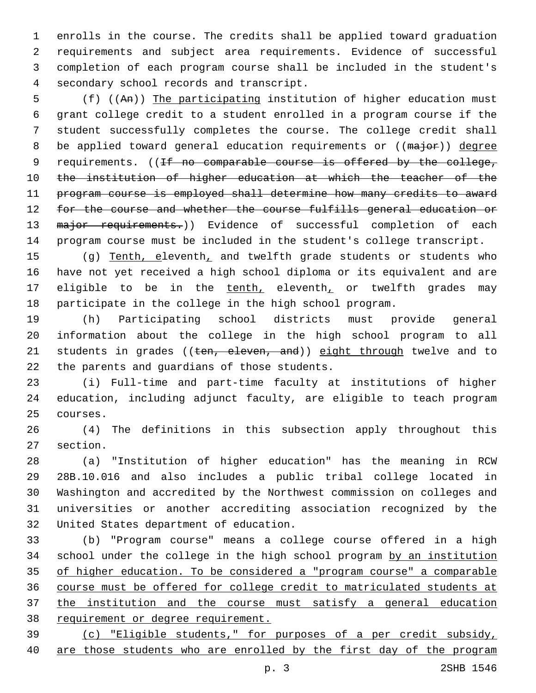enrolls in the course. The credits shall be applied toward graduation requirements and subject area requirements. Evidence of successful completion of each program course shall be included in the student's 4 secondary school records and transcript.

 (f) ((An)) The participating institution of higher education must grant college credit to a student enrolled in a program course if the student successfully completes the course. The college credit shall 8 be applied toward general education requirements or ((major)) degree 9 requirements. ((If no comparable course is offered by the college, 10 the institution of higher education at which the teacher of the program course is employed shall determine how many credits to award for the course and whether the course fulfills general education or 13 major requirements.)) Evidence of successful completion of each program course must be included in the student's college transcript.

15 (g) Tenth, eleventh, and twelfth grade students or students who have not yet received a high school diploma or its equivalent and are 17 eligible to be in the tenth, eleventh, or twelfth grades may participate in the college in the high school program.

 (h) Participating school districts must provide general information about the college in the high school program to all 21 students in grades ((ten, eleven, and)) eight through twelve and to 22 the parents and guardians of those students.

 (i) Full-time and part-time faculty at institutions of higher education, including adjunct faculty, are eligible to teach program 25 courses.

 (4) The definitions in this subsection apply throughout this 27 section.

 (a) "Institution of higher education" has the meaning in RCW 28B.10.016 and also includes a public tribal college located in Washington and accredited by the Northwest commission on colleges and universities or another accrediting association recognized by the 32 United States department of education.

 (b) "Program course" means a college course offered in a high school under the college in the high school program by an institution of higher education. To be considered a "program course" a comparable course must be offered for college credit to matriculated students at the institution and the course must satisfy a general education 38 requirement or degree requirement.

 (c) "Eligible students," for purposes of a per credit subsidy, are those students who are enrolled by the first day of the program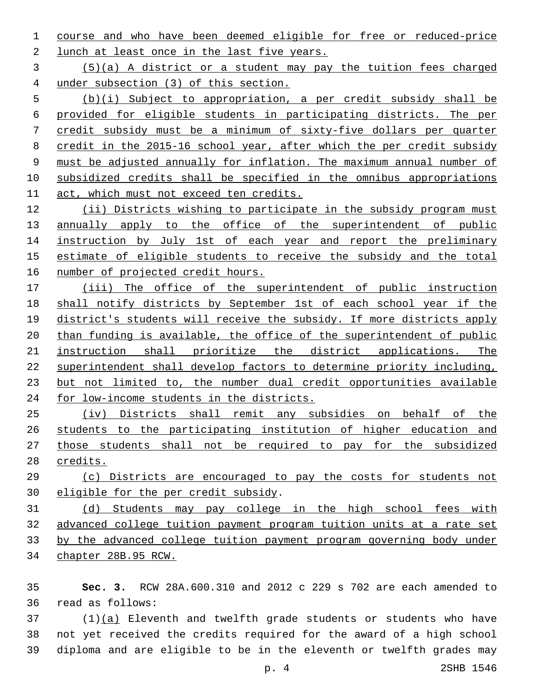course and who have been deemed eligible for free or reduced-price 2 lunch at least once in the last five years.

 (5)(a) A district or a student may pay the tuition fees charged under subsection (3) of this section.

 (b)(i) Subject to appropriation, a per credit subsidy shall be provided for eligible students in participating districts. The per credit subsidy must be a minimum of sixty-five dollars per quarter 8 credit in the 2015-16 school year, after which the per credit subsidy must be adjusted annually for inflation. The maximum annual number of subsidized credits shall be specified in the omnibus appropriations act, which must not exceed ten credits.

 (ii) Districts wishing to participate in the subsidy program must 13 annually apply to the office of the superintendent of public 14 instruction by July 1st of each year and report the preliminary estimate of eligible students to receive the subsidy and the total number of projected credit hours.

 (iii) The office of the superintendent of public instruction shall notify districts by September 1st of each school year if the 19 district's students will receive the subsidy. If more districts apply than funding is available, the office of the superintendent of public instruction shall prioritize the district applications. The superintendent shall develop factors to determine priority including, but not limited to, the number dual credit opportunities available for low-income students in the districts.

 (iv) Districts shall remit any subsidies on behalf of the students to the participating institution of higher education and those students shall not be required to pay for the subsidized credits.

 (c) Districts are encouraged to pay the costs for students not 30 eligible for the per credit subsidy.

 (d) Students may pay college in the high school fees with advanced college tuition payment program tuition units at a rate set by the advanced college tuition payment program governing body under chapter 28B.95 RCW.

 **Sec. 3.** RCW 28A.600.310 and 2012 c 229 s 702 are each amended to read as follows:36

 (1)(a) Eleventh and twelfth grade students or students who have not yet received the credits required for the award of a high school diploma and are eligible to be in the eleventh or twelfth grades may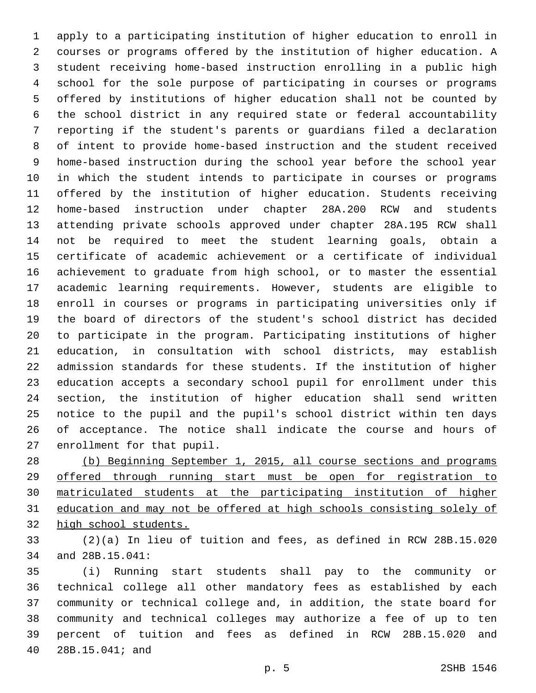apply to a participating institution of higher education to enroll in courses or programs offered by the institution of higher education. A student receiving home-based instruction enrolling in a public high school for the sole purpose of participating in courses or programs offered by institutions of higher education shall not be counted by the school district in any required state or federal accountability reporting if the student's parents or guardians filed a declaration of intent to provide home-based instruction and the student received home-based instruction during the school year before the school year in which the student intends to participate in courses or programs offered by the institution of higher education. Students receiving home-based instruction under chapter 28A.200 RCW and students attending private schools approved under chapter 28A.195 RCW shall not be required to meet the student learning goals, obtain a certificate of academic achievement or a certificate of individual achievement to graduate from high school, or to master the essential academic learning requirements. However, students are eligible to enroll in courses or programs in participating universities only if the board of directors of the student's school district has decided to participate in the program. Participating institutions of higher education, in consultation with school districts, may establish admission standards for these students. If the institution of higher education accepts a secondary school pupil for enrollment under this section, the institution of higher education shall send written notice to the pupil and the pupil's school district within ten days of acceptance. The notice shall indicate the course and hours of 27 enrollment for that pupil.

 (b) Beginning September 1, 2015, all course sections and programs offered through running start must be open for registration to matriculated students at the participating institution of higher education and may not be offered at high schools consisting solely of high school students.

 (2)(a) In lieu of tuition and fees, as defined in RCW 28B.15.020 34 and 28B.15.041:

 (i) Running start students shall pay to the community or technical college all other mandatory fees as established by each community or technical college and, in addition, the state board for community and technical colleges may authorize a fee of up to ten percent of tuition and fees as defined in RCW 28B.15.020 and 28B.15.041; and40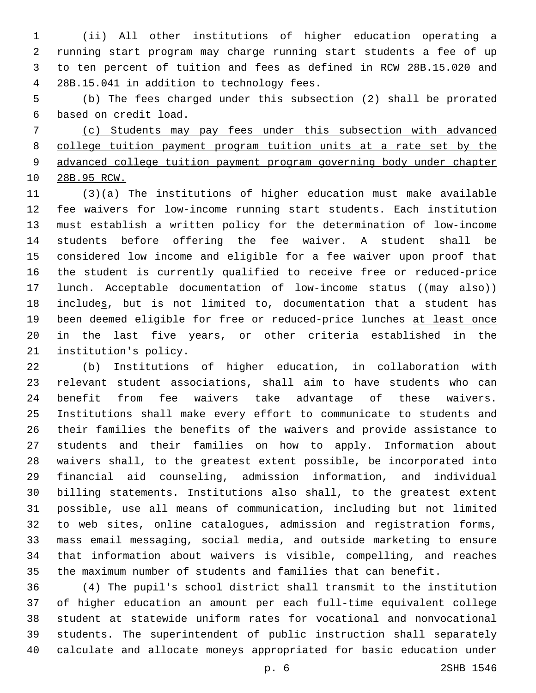(ii) All other institutions of higher education operating a running start program may charge running start students a fee of up to ten percent of tuition and fees as defined in RCW 28B.15.020 and 4 28B.15.041 in addition to technology fees.

 (b) The fees charged under this subsection (2) shall be prorated based on credit load.6

 (c) Students may pay fees under this subsection with advanced college tuition payment program tuition units at a rate set by the advanced college tuition payment program governing body under chapter 28B.95 RCW.

 (3)(a) The institutions of higher education must make available fee waivers for low-income running start students. Each institution must establish a written policy for the determination of low-income students before offering the fee waiver. A student shall be considered low income and eligible for a fee waiver upon proof that the student is currently qualified to receive free or reduced-price 17 lunch. Acceptable documentation of low-income status ((may also)) includes, but is not limited to, documentation that a student has 19 been deemed eligible for free or reduced-price lunches at least once in the last five years, or other criteria established in the 21 institution's policy.

 (b) Institutions of higher education, in collaboration with relevant student associations, shall aim to have students who can benefit from fee waivers take advantage of these waivers. Institutions shall make every effort to communicate to students and their families the benefits of the waivers and provide assistance to students and their families on how to apply. Information about waivers shall, to the greatest extent possible, be incorporated into financial aid counseling, admission information, and individual billing statements. Institutions also shall, to the greatest extent possible, use all means of communication, including but not limited to web sites, online catalogues, admission and registration forms, mass email messaging, social media, and outside marketing to ensure that information about waivers is visible, compelling, and reaches the maximum number of students and families that can benefit.

 (4) The pupil's school district shall transmit to the institution of higher education an amount per each full-time equivalent college student at statewide uniform rates for vocational and nonvocational students. The superintendent of public instruction shall separately calculate and allocate moneys appropriated for basic education under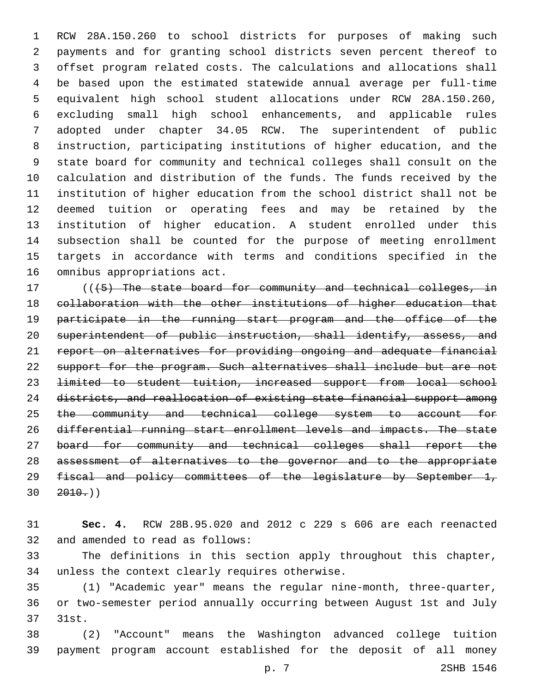RCW 28A.150.260 to school districts for purposes of making such payments and for granting school districts seven percent thereof to offset program related costs. The calculations and allocations shall be based upon the estimated statewide annual average per full-time equivalent high school student allocations under RCW 28A.150.260, excluding small high school enhancements, and applicable rules adopted under chapter 34.05 RCW. The superintendent of public instruction, participating institutions of higher education, and the state board for community and technical colleges shall consult on the calculation and distribution of the funds. The funds received by the institution of higher education from the school district shall not be deemed tuition or operating fees and may be retained by the institution of higher education. A student enrolled under this subsection shall be counted for the purpose of meeting enrollment targets in accordance with terms and conditions specified in the 16 omnibus appropriations act.

17 (((45) The state board for community and technical colleges, in collaboration with the other institutions of higher education that 19 participate in the running start program and the office of the superintendent of public instruction, shall identify, assess, and report on alternatives for providing ongoing and adequate financial support for the program. Such alternatives shall include but are not limited to student tuition, increased support from local school districts, and reallocation of existing state financial support among the community and technical college system to account for differential running start enrollment levels and impacts. The state 27 board for community and technical colleges shall report the assessment of alternatives to the governor and to the appropriate fiscal and policy committees of the legislature by September 1,  $30 \quad 2010.$ ))

 **Sec. 4.** RCW 28B.95.020 and 2012 c 229 s 606 are each reenacted 32 and amended to read as follows:

 The definitions in this section apply throughout this chapter, 34 unless the context clearly requires otherwise.

 (1) "Academic year" means the regular nine-month, three-quarter, or two-semester period annually occurring between August 1st and July 37 31st.

 (2) "Account" means the Washington advanced college tuition payment program account established for the deposit of all money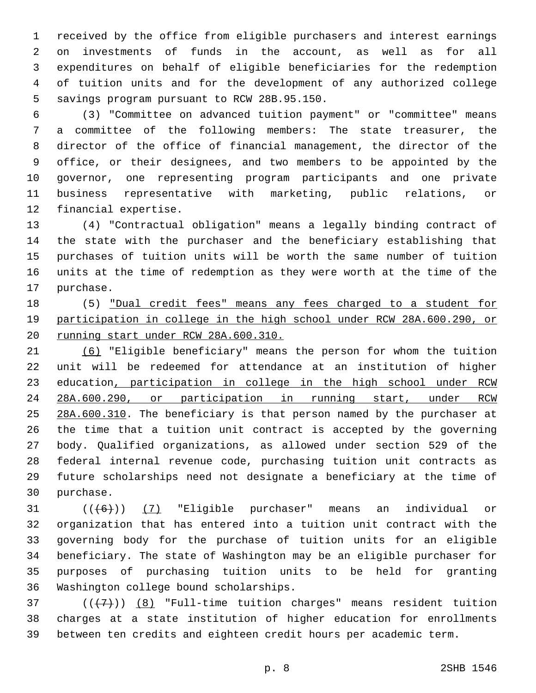received by the office from eligible purchasers and interest earnings on investments of funds in the account, as well as for all expenditures on behalf of eligible beneficiaries for the redemption of tuition units and for the development of any authorized college 5 savings program pursuant to RCW 28B.95.150.

 (3) "Committee on advanced tuition payment" or "committee" means a committee of the following members: The state treasurer, the director of the office of financial management, the director of the office, or their designees, and two members to be appointed by the governor, one representing program participants and one private business representative with marketing, public relations, or 12 financial expertise.

 (4) "Contractual obligation" means a legally binding contract of the state with the purchaser and the beneficiary establishing that purchases of tuition units will be worth the same number of tuition units at the time of redemption as they were worth at the time of the 17 purchase.

18 (5) "Dual credit fees" means any fees charged to a student for participation in college in the high school under RCW 28A.600.290, or running start under RCW 28A.600.310.

 (6) "Eligible beneficiary" means the person for whom the tuition unit will be redeemed for attendance at an institution of higher 23 education, participation in college in the high school under RCW 28A.600.290, or participation in running start, under RCW 25 28A.600.310. The beneficiary is that person named by the purchaser at the time that a tuition unit contract is accepted by the governing body. Qualified organizations, as allowed under section 529 of the federal internal revenue code, purchasing tuition unit contracts as future scholarships need not designate a beneficiary at the time of 30 purchase.

 $((+6))$   $(7)$  "Eligible purchaser" means an individual or organization that has entered into a tuition unit contract with the governing body for the purchase of tuition units for an eligible beneficiary. The state of Washington may be an eligible purchaser for purposes of purchasing tuition units to be held for granting 36 Washington college bound scholarships.

 ( $(\overline{+7})$ )  $(8)$  "Full-time tuition charges" means resident tuition charges at a state institution of higher education for enrollments between ten credits and eighteen credit hours per academic term.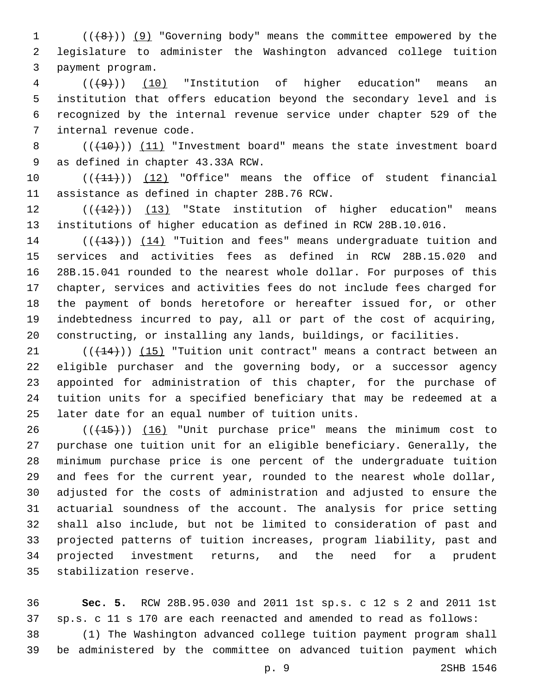1 (((8)) (9) "Governing body" means the committee empowered by the legislature to administer the Washington advanced college tuition 3 payment program.

 (((9))) (10) "Institution of higher education" means an institution that offers education beyond the secondary level and is recognized by the internal revenue service under chapter 529 of the 7 internal revenue code.

8  $((+10))$   $(11)$  "Investment board" means the state investment board 9 as defined in chapter 43.33A RCW.

10 (( $(11)$ )) (12) "Office" means the office of student financial 11 assistance as defined in chapter 28B.76 RCW.

12  $((+12))$  (13) "State institution of higher education" means institutions of higher education as defined in RCW 28B.10.016.

14 (( $(13)$ )) (14) "Tuition and fees" means undergraduate tuition and services and activities fees as defined in RCW 28B.15.020 and 28B.15.041 rounded to the nearest whole dollar. For purposes of this chapter, services and activities fees do not include fees charged for the payment of bonds heretofore or hereafter issued for, or other indebtedness incurred to pay, all or part of the cost of acquiring, constructing, or installing any lands, buildings, or facilities.

 $(1)$  ( $(14)$ )) (15) "Tuition unit contract" means a contract between an eligible purchaser and the governing body, or a successor agency appointed for administration of this chapter, for the purchase of tuition units for a specified beneficiary that may be redeemed at a 25 later date for an equal number of tuition units.

26 (( $(15)$ )) (16) "Unit purchase price" means the minimum cost to purchase one tuition unit for an eligible beneficiary. Generally, the minimum purchase price is one percent of the undergraduate tuition and fees for the current year, rounded to the nearest whole dollar, adjusted for the costs of administration and adjusted to ensure the actuarial soundness of the account. The analysis for price setting shall also include, but not be limited to consideration of past and projected patterns of tuition increases, program liability, past and projected investment returns, and the need for a prudent 35 stabilization reserve.

 **Sec. 5.** RCW 28B.95.030 and 2011 1st sp.s. c 12 s 2 and 2011 1st sp.s. c 11 s 170 are each reenacted and amended to read as follows:

 (1) The Washington advanced college tuition payment program shall be administered by the committee on advanced tuition payment which

p. 9 2SHB 1546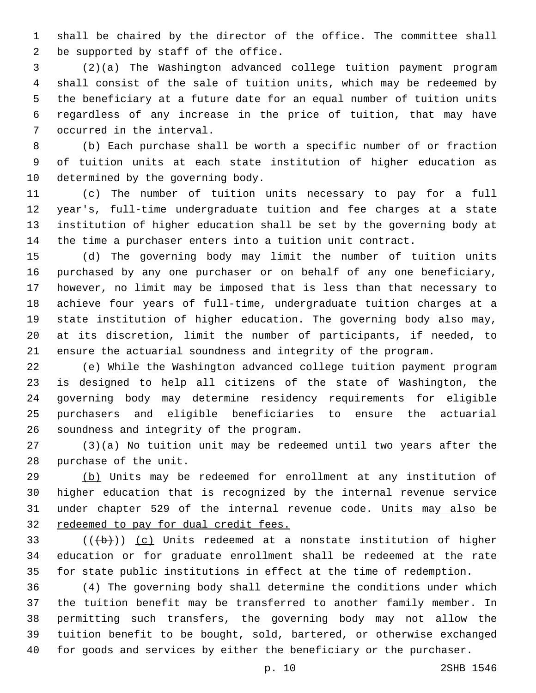shall be chaired by the director of the office. The committee shall 2 be supported by staff of the office.

 (2)(a) The Washington advanced college tuition payment program shall consist of the sale of tuition units, which may be redeemed by the beneficiary at a future date for an equal number of tuition units regardless of any increase in the price of tuition, that may have 7 occurred in the interval.

 (b) Each purchase shall be worth a specific number of or fraction of tuition units at each state institution of higher education as 10 determined by the governing body.

 (c) The number of tuition units necessary to pay for a full year's, full-time undergraduate tuition and fee charges at a state institution of higher education shall be set by the governing body at the time a purchaser enters into a tuition unit contract.

 (d) The governing body may limit the number of tuition units purchased by any one purchaser or on behalf of any one beneficiary, however, no limit may be imposed that is less than that necessary to achieve four years of full-time, undergraduate tuition charges at a state institution of higher education. The governing body also may, at its discretion, limit the number of participants, if needed, to ensure the actuarial soundness and integrity of the program.

 (e) While the Washington advanced college tuition payment program is designed to help all citizens of the state of Washington, the governing body may determine residency requirements for eligible purchasers and eligible beneficiaries to ensure the actuarial 26 soundness and integrity of the program.

 (3)(a) No tuition unit may be redeemed until two years after the 28 purchase of the unit.

 (b) Units may be redeemed for enrollment at any institution of higher education that is recognized by the internal revenue service 31 under chapter 529 of the internal revenue code. Units may also be redeemed to pay for dual credit fees.

 ( $(\overline{b})$ ) (c) Units redeemed at a nonstate institution of higher education or for graduate enrollment shall be redeemed at the rate for state public institutions in effect at the time of redemption.

 (4) The governing body shall determine the conditions under which the tuition benefit may be transferred to another family member. In permitting such transfers, the governing body may not allow the tuition benefit to be bought, sold, bartered, or otherwise exchanged for goods and services by either the beneficiary or the purchaser.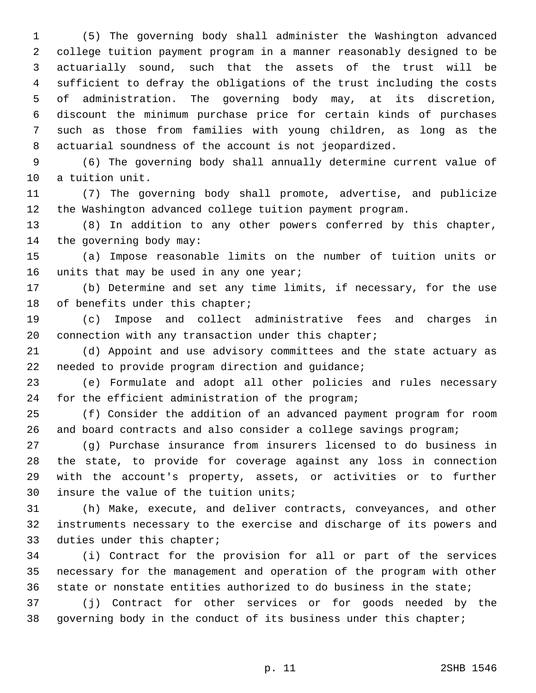(5) The governing body shall administer the Washington advanced college tuition payment program in a manner reasonably designed to be actuarially sound, such that the assets of the trust will be sufficient to defray the obligations of the trust including the costs of administration. The governing body may, at its discretion, discount the minimum purchase price for certain kinds of purchases such as those from families with young children, as long as the actuarial soundness of the account is not jeopardized.

 (6) The governing body shall annually determine current value of 10 a tuition unit.

 (7) The governing body shall promote, advertise, and publicize the Washington advanced college tuition payment program.

 (8) In addition to any other powers conferred by this chapter, 14 the governing body may:

 (a) Impose reasonable limits on the number of tuition units or 16 units that may be used in any one year;

 (b) Determine and set any time limits, if necessary, for the use 18 of benefits under this chapter;

 (c) Impose and collect administrative fees and charges in connection with any transaction under this chapter;

 (d) Appoint and use advisory committees and the state actuary as 22 needed to provide program direction and quidance;

 (e) Formulate and adopt all other policies and rules necessary 24 for the efficient administration of the program;

 (f) Consider the addition of an advanced payment program for room and board contracts and also consider a college savings program;

 (g) Purchase insurance from insurers licensed to do business in the state, to provide for coverage against any loss in connection with the account's property, assets, or activities or to further 30 insure the value of the tuition units;

 (h) Make, execute, and deliver contracts, conveyances, and other instruments necessary to the exercise and discharge of its powers and 33 duties under this chapter;

 (i) Contract for the provision for all or part of the services necessary for the management and operation of the program with other state or nonstate entities authorized to do business in the state;

 (j) Contract for other services or for goods needed by the 38 governing body in the conduct of its business under this chapter;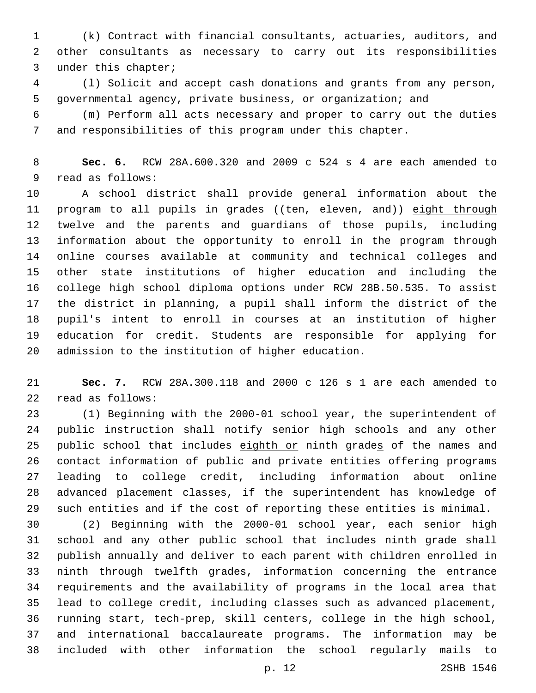(k) Contract with financial consultants, actuaries, auditors, and other consultants as necessary to carry out its responsibilities 3 under this chapter;

 (l) Solicit and accept cash donations and grants from any person, governmental agency, private business, or organization; and

 (m) Perform all acts necessary and proper to carry out the duties and responsibilities of this program under this chapter.

 **Sec. 6.** RCW 28A.600.320 and 2009 c 524 s 4 are each amended to 9 read as follows:

 A school district shall provide general information about the 11 program to all pupils in grades ((ten, eleven, and)) eight through twelve and the parents and guardians of those pupils, including information about the opportunity to enroll in the program through online courses available at community and technical colleges and other state institutions of higher education and including the college high school diploma options under RCW 28B.50.535. To assist the district in planning, a pupil shall inform the district of the pupil's intent to enroll in courses at an institution of higher education for credit. Students are responsible for applying for 20 admission to the institution of higher education.

 **Sec. 7.** RCW 28A.300.118 and 2000 c 126 s 1 are each amended to 22 read as follows:

 (1) Beginning with the 2000-01 school year, the superintendent of public instruction shall notify senior high schools and any other 25 public school that includes eighth or ninth grades of the names and contact information of public and private entities offering programs leading to college credit, including information about online advanced placement classes, if the superintendent has knowledge of such entities and if the cost of reporting these entities is minimal.

 (2) Beginning with the 2000-01 school year, each senior high school and any other public school that includes ninth grade shall publish annually and deliver to each parent with children enrolled in ninth through twelfth grades, information concerning the entrance requirements and the availability of programs in the local area that lead to college credit, including classes such as advanced placement, running start, tech-prep, skill centers, college in the high school, and international baccalaureate programs. The information may be included with other information the school regularly mails to